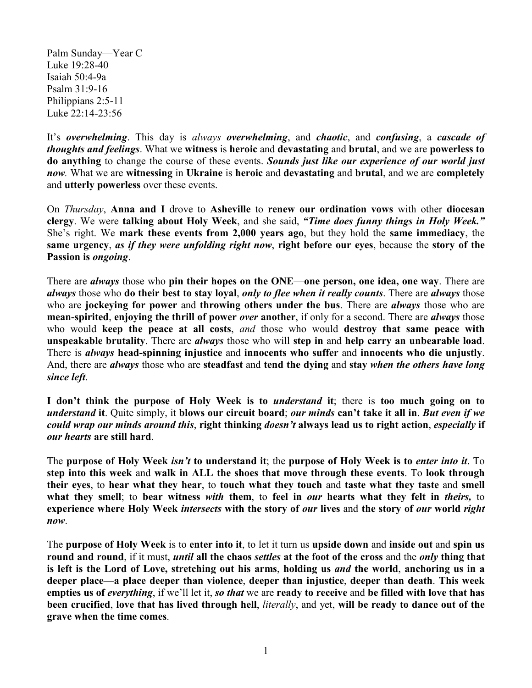Palm Sunday—Year C Luke 19:28-40 Isaiah 50:4-9a Psalm 31:9-16 Philippians 2:5-11 Luke 22:14-23:56

It's *overwhelming*. This day is *always overwhelming*, and *chaotic*, and *confusing*, a *cascade of thoughts and feelings*. What we **witness** is **heroic** and **devastating** and **brutal**, and we are **powerless to do anything** to change the course of these events. *Sounds just like our experience of our world just now.* What we are **witnessing** in **Ukraine** is **heroic** and **devastating** and **brutal**, and we are **completely** and **utterly powerless** over these events.

On *Thursday*, **Anna and I** drove to **Asheville** to **renew our ordination vows** with other **diocesan clergy**. We were **talking about Holy Week**, and she said, *"Time does funny things in Holy Week."*  She's right. We **mark these events from 2,000 years ago**, but they hold the **same immediacy**, the **same urgency**, *as if they were unfolding right now*, **right before our eyes**, because the **story of the Passion is** *ongoing*.

There are *always* those who **pin their hopes on the ONE**—**one person, one idea, one way**. There are *always* those who **do their best to stay loyal**, *only to flee when it really counts*. There are *always* those who are **jockeying for power** and **throwing others under the bus**. There are *always* those who are **mean-spirited**, **enjoying the thrill of power** *over* **another**, if only for a second. There are *always* those who would **keep the peace at all costs**, *and* those who would **destroy that same peace with unspeakable brutality**. There are *always* those who will **step in** and **help carry an unbearable load**. There is *always* **head-spinning injustice** and **innocents who suffer** and **innocents who die unjustly**. And, there are *always* those who are **steadfast** and **tend the dying** and **stay** *when the others have long since left*.

**I don't think the purpose of Holy Week is to** *understand* **it**; there is **too much going on to**  *understand* **it**. Quite simply, it **blows our circuit board**; *our minds* **can't take it all in**. *But even if we could wrap our minds around this*, **right thinking** *doesn't* **always lead us to right action**, *especially* **if**  *our hearts* **are still hard**.

The **purpose of Holy Week** *isn't* **to understand it**; the **purpose of Holy Week is to** *enter into it*. To **step into this week** and **walk in ALL the shoes that move through these events**. To **look through their eyes**, to **hear what they hear**, to **touch what they touch** and **taste what they taste** and **smell what they smell**; to **bear witness** *with* **them**, to **feel in** *our* **hearts what they felt in** *theirs,* to **experience where Holy Week** *intersects* **with the story of** *our* **lives** and **the story of** *our* **world** *right now*.

The **purpose of Holy Week** is to **enter into it**, to let it turn us **upside down** and **inside out** and **spin us round and round**, if it must, *until* **all the chaos** *settles* **at the foot of the cross** and the *only* **thing that is left is the Lord of Love, stretching out his arms**, **holding us** *and* **the world**, **anchoring us in a deeper place**—**a place deeper than violence**, **deeper than injustice**, **deeper than death**. **This week empties us of** *everything*, if we'll let it, *so that* we are **ready to receive** and **be filled with love that has been crucified**, **love that has lived through hell**, *literally*, and yet, **will be ready to dance out of the grave when the time comes**.